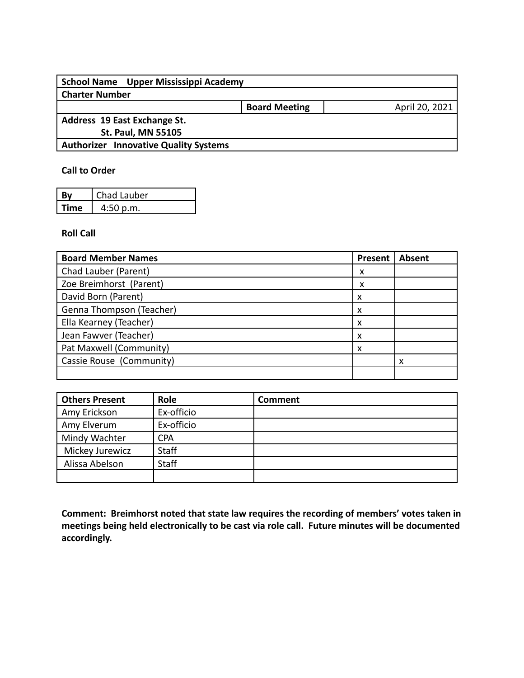| School Name Upper Mississippi Academy        |                      |                |
|----------------------------------------------|----------------------|----------------|
| <b>Charter Number</b>                        |                      |                |
|                                              | <b>Board Meeting</b> | April 20, 2021 |
| Address 19 East Exchange St.                 |                      |                |
| <b>St. Paul, MN 55105</b>                    |                      |                |
| <b>Authorizer Innovative Quality Systems</b> |                      |                |
|                                              |                      |                |

## **Call to Order**

| Bv   | Chad Lauber |
|------|-------------|
| Time | 4:50 p.m.   |

## **Roll Call**

| <b>Board Member Names</b> | <b>Present</b> | <b>Absent</b> |
|---------------------------|----------------|---------------|
| Chad Lauber (Parent)      | х              |               |
| Zoe Breimhorst (Parent)   | х              |               |
| David Born (Parent)       | x              |               |
| Genna Thompson (Teacher)  |                |               |
| Ella Kearney (Teacher)    |                |               |
| Jean Fawver (Teacher)     |                |               |
| Pat Maxwell (Community)   |                |               |
| Cassie Rouse (Community)  |                | x             |
|                           |                |               |

| <b>Others Present</b> | Role         | <b>Comment</b> |
|-----------------------|--------------|----------------|
| Amy Erickson          | Ex-officio   |                |
| Amy Elverum           | Ex-officio   |                |
| Mindy Wachter         | <b>CPA</b>   |                |
| Mickey Jurewicz       | <b>Staff</b> |                |
| Alissa Abelson        | <b>Staff</b> |                |
|                       |              |                |

**Comment: Breimhorst noted that state law requires the recording of members' votes taken in meetings being held electronically to be cast via role call. Future minutes will be documented accordingly.**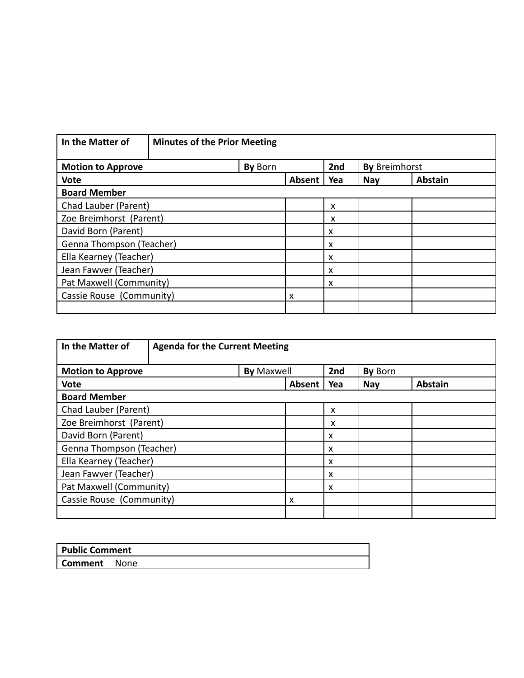| In the Matter of         | <b>Minutes of the Prior Meeting</b> |         |                           |     |                      |                |
|--------------------------|-------------------------------------|---------|---------------------------|-----|----------------------|----------------|
| <b>Motion to Approve</b> |                                     | By Born |                           | 2nd | <b>By Breimhorst</b> |                |
| <b>Vote</b>              |                                     |         | Absent                    | Yea | <b>Nay</b>           | <b>Abstain</b> |
| <b>Board Member</b>      |                                     |         |                           |     |                      |                |
| Chad Lauber (Parent)     |                                     |         |                           | X   |                      |                |
| Zoe Breimhorst (Parent)  |                                     |         | X                         |     |                      |                |
| David Born (Parent)      |                                     |         | $\boldsymbol{\mathsf{x}}$ |     |                      |                |
| Genna Thompson (Teacher) |                                     |         | $\boldsymbol{\mathsf{x}}$ |     |                      |                |
| Ella Kearney (Teacher)   |                                     |         | $\boldsymbol{\mathsf{x}}$ |     |                      |                |
| Jean Fawver (Teacher)    |                                     |         | $\boldsymbol{\mathsf{x}}$ |     |                      |                |
| Pat Maxwell (Community)  |                                     |         | $\boldsymbol{\mathsf{x}}$ |     |                      |                |
| Cassie Rouse (Community) |                                     | X       |                           |     |                      |                |
|                          |                                     |         |                           |     |                      |                |

| In the Matter of<br><b>Agenda for the Current Meeting</b> |                   |                           |            |                |
|-----------------------------------------------------------|-------------------|---------------------------|------------|----------------|
| <b>Motion to Approve</b>                                  | <b>By Maxwell</b> | 2nd                       | By Born    |                |
| <b>Vote</b>                                               | <b>Absent</b>     | Yea                       | <b>Nay</b> | <b>Abstain</b> |
| <b>Board Member</b>                                       |                   |                           |            |                |
| Chad Lauber (Parent)                                      |                   | x                         |            |                |
| Zoe Breimhorst (Parent)                                   |                   | x                         |            |                |
| David Born (Parent)                                       |                   | $\boldsymbol{\mathsf{x}}$ |            |                |
| Genna Thompson (Teacher)                                  |                   | X                         |            |                |
| Ella Kearney (Teacher)                                    |                   | X                         |            |                |
| Jean Fawver (Teacher)                                     |                   | $\boldsymbol{\mathsf{x}}$ |            |                |
| Pat Maxwell (Community)                                   |                   | X                         |            |                |
| Cassie Rouse (Community)                                  |                   |                           |            |                |
|                                                           |                   |                           |            |                |

| <b>Public Comment</b> |        |  |
|-----------------------|--------|--|
| Comment               | : None |  |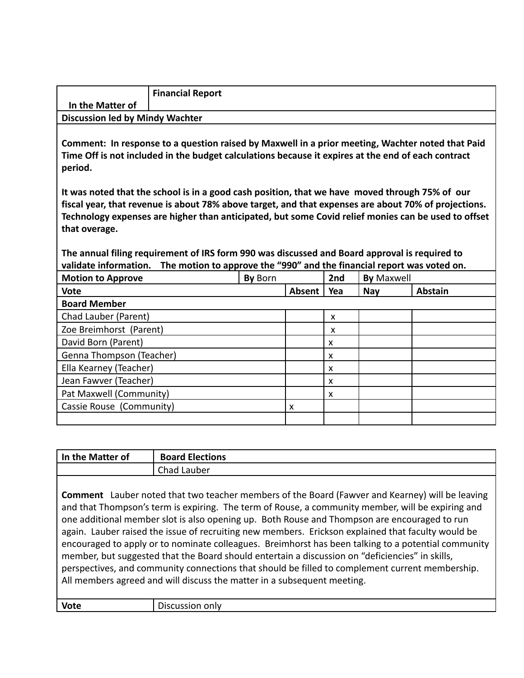|                                        | <b>Financial Report</b> |
|----------------------------------------|-------------------------|
| In the Matter of                       |                         |
| <b>Discussion led by Mindy Wachter</b> |                         |

**Comment: In response to a question raised by Maxwell in a prior meeting, Wachter noted that Paid Time Off is not included in the budget calculations because it expires at the end of each contract period.**

**It was noted that the school is in a good cash position, that we have moved through 75% of our fiscal year, that revenue is about 78% above target, and that expenses are about 70% of projections. Technology expenses are higher than anticipated, but some Covid relief monies can be used to offset that overage.**

**The annual filing requirement of IRS form 990 was discussed and Board approval is required to validate information. The motion to approve the "990" and the financial report was voted on.**

| <b>Motion to Approve</b> | By Born |        | 2nd | <b>By Maxwell</b> |                |
|--------------------------|---------|--------|-----|-------------------|----------------|
| <b>Vote</b>              |         | Absent | Yea | <b>Nay</b>        | <b>Abstain</b> |
| <b>Board Member</b>      |         |        |     |                   |                |
| Chad Lauber (Parent)     |         |        | X   |                   |                |
| Zoe Breimhorst (Parent)  |         |        | x   |                   |                |
| David Born (Parent)      |         |        | x   |                   |                |
| Genna Thompson (Teacher) |         |        | x   |                   |                |
| Ella Kearney (Teacher)   |         |        | X   |                   |                |
| Jean Fawver (Teacher)    |         |        | X   |                   |                |
| Pat Maxwell (Community)  |         |        | x   |                   |                |
| Cassie Rouse (Community) |         | x      |     |                   |                |
|                          |         |        |     |                   |                |

| In the Matter of | <b>Board Elections</b>                                                                                                                                                                                                                                                                                                                                                                                                                                                                                                                                                                                                                                                                                                                                                                                    |
|------------------|-----------------------------------------------------------------------------------------------------------------------------------------------------------------------------------------------------------------------------------------------------------------------------------------------------------------------------------------------------------------------------------------------------------------------------------------------------------------------------------------------------------------------------------------------------------------------------------------------------------------------------------------------------------------------------------------------------------------------------------------------------------------------------------------------------------|
|                  | Chad Lauber                                                                                                                                                                                                                                                                                                                                                                                                                                                                                                                                                                                                                                                                                                                                                                                               |
|                  | <b>Comment</b> Lauber noted that two teacher members of the Board (Fawver and Kearney) will be leaving<br>and that Thompson's term is expiring. The term of Rouse, a community member, will be expiring and<br>one additional member slot is also opening up. Both Rouse and Thompson are encouraged to run<br>again. Lauber raised the issue of recruiting new members. Erickson explained that faculty would be<br>encouraged to apply or to nominate colleagues. Breimhorst has been talking to a potential community<br>member, but suggested that the Board should entertain a discussion on "deficiencies" in skills,<br>perspectives, and community connections that should be filled to complement current membership.<br>All members agreed and will discuss the matter in a subsequent meeting. |
| <b>Vote</b>      | Discussion only                                                                                                                                                                                                                                                                                                                                                                                                                                                                                                                                                                                                                                                                                                                                                                                           |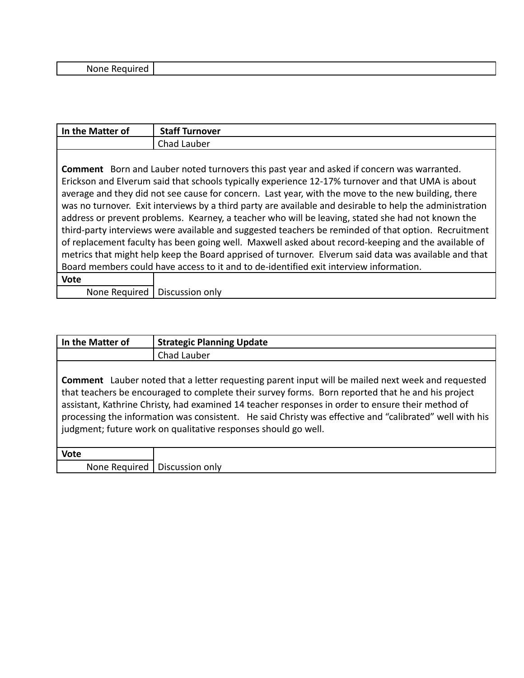| Nι<br>u⊔د<br>.<br>. .<br>. |
|----------------------------|
|----------------------------|

| In the Matter of                                                                                         | <b>Staff Turnover</b>                                                                                 |  |  |  |
|----------------------------------------------------------------------------------------------------------|-------------------------------------------------------------------------------------------------------|--|--|--|
|                                                                                                          | Chad Lauber                                                                                           |  |  |  |
|                                                                                                          |                                                                                                       |  |  |  |
|                                                                                                          | <b>Comment</b> Born and Lauber noted turnovers this past year and asked if concern was warranted.     |  |  |  |
|                                                                                                          | Erickson and Elverum said that schools typically experience 12-17% turnover and that UMA is about     |  |  |  |
|                                                                                                          | average and they did not see cause for concern. Last year, with the move to the new building, there   |  |  |  |
| was no turnover. Exit interviews by a third party are available and desirable to help the administration |                                                                                                       |  |  |  |
|                                                                                                          | address or prevent problems. Kearney, a teacher who will be leaving, stated she had not known the     |  |  |  |
|                                                                                                          | third-party interviews were available and suggested teachers be reminded of that option. Recruitment  |  |  |  |
|                                                                                                          | of replacement faculty has been going well. Maxwell asked about record-keeping and the available of   |  |  |  |
|                                                                                                          | metrics that might help keep the Board apprised of turnover. Elverum said data was available and that |  |  |  |
|                                                                                                          | Board members could have access to it and to de-identified exit interview information.                |  |  |  |
| <b>Vote</b>                                                                                              |                                                                                                       |  |  |  |
| None Required                                                                                            | Discussion only                                                                                       |  |  |  |

| In the Matter of | <b>Strategic Planning Update</b>                                                                                                                                                                                                                                                                                                                                                                                                                                                                |
|------------------|-------------------------------------------------------------------------------------------------------------------------------------------------------------------------------------------------------------------------------------------------------------------------------------------------------------------------------------------------------------------------------------------------------------------------------------------------------------------------------------------------|
|                  | Chad Lauber                                                                                                                                                                                                                                                                                                                                                                                                                                                                                     |
|                  | <b>Comment</b> Lauber noted that a letter requesting parent input will be mailed next week and requested<br>that teachers be encouraged to complete their survey forms. Born reported that he and his project<br>assistant, Kathrine Christy, had examined 14 teacher responses in order to ensure their method of<br>processing the information was consistent. He said Christy was effective and "calibrated" well with his<br>judgment; future work on qualitative responses should go well. |
| <b>Vote</b>      |                                                                                                                                                                                                                                                                                                                                                                                                                                                                                                 |
|                  | None Required   Discussion only                                                                                                                                                                                                                                                                                                                                                                                                                                                                 |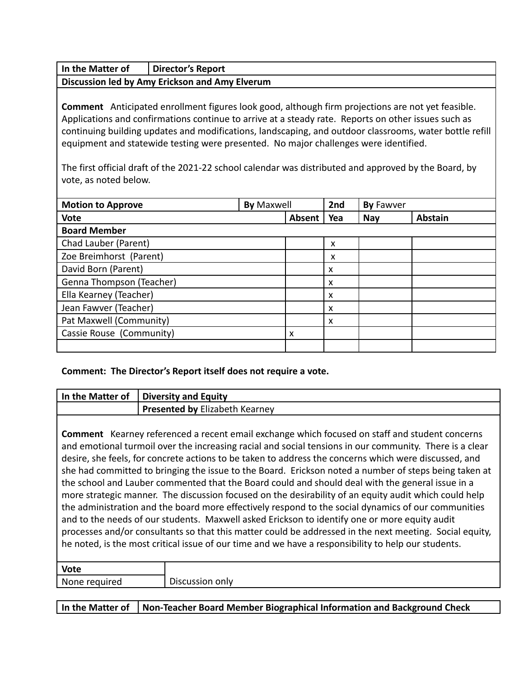**In the Matter of Director's Report**

**Discussion led by Amy Erickson and Amy Elverum**

**Comment** Anticipated enrollment figures look good, although firm projections are not yet feasible. Applications and confirmations continue to arrive at a steady rate. Reports on other issues such as continuing building updates and modifications, landscaping, and outdoor classrooms, water bottle refill equipment and statewide testing were presented. No major challenges were identified.

The first official draft of the 2021-22 school calendar was distributed and approved by the Board, by vote, as noted below.

| <b>Motion to Approve</b> | <b>By Maxwell</b> |        | 2nd | By Fawver  |                |
|--------------------------|-------------------|--------|-----|------------|----------------|
| <b>Vote</b>              |                   | Absent | Yea | <b>Nay</b> | <b>Abstain</b> |
| <b>Board Member</b>      |                   |        |     |            |                |
| Chad Lauber (Parent)     |                   |        | X   |            |                |
| Zoe Breimhorst (Parent)  |                   |        | x   |            |                |
| David Born (Parent)      |                   |        | X   |            |                |
| Genna Thompson (Teacher) |                   |        | X   |            |                |
| Ella Kearney (Teacher)   |                   |        | X   |            |                |
| Jean Fawver (Teacher)    |                   |        | X   |            |                |
| Pat Maxwell (Community)  |                   |        | X   |            |                |
| Cassie Rouse (Community) |                   | X      |     |            |                |
|                          |                   |        |     |            |                |

## **Comment: The Director's Report itself does not require a vote.**

| In the Matter of | <b>Diversity and Equity</b>                                                                                                                                                                                                                                                                                                                                                                                                                                                                                                                                                                                                                                                                                                                                                                                                                                                                                                                                                                                                                                               |
|------------------|---------------------------------------------------------------------------------------------------------------------------------------------------------------------------------------------------------------------------------------------------------------------------------------------------------------------------------------------------------------------------------------------------------------------------------------------------------------------------------------------------------------------------------------------------------------------------------------------------------------------------------------------------------------------------------------------------------------------------------------------------------------------------------------------------------------------------------------------------------------------------------------------------------------------------------------------------------------------------------------------------------------------------------------------------------------------------|
|                  | Presented by Elizabeth Kearney                                                                                                                                                                                                                                                                                                                                                                                                                                                                                                                                                                                                                                                                                                                                                                                                                                                                                                                                                                                                                                            |
|                  | <b>Comment</b> Kearney referenced a recent email exchange which focused on staff and student concerns<br>and emotional turmoil over the increasing racial and social tensions in our community. There is a clear<br>desire, she feels, for concrete actions to be taken to address the concerns which were discussed, and<br>she had committed to bringing the issue to the Board. Erickson noted a number of steps being taken at<br>the school and Lauber commented that the Board could and should deal with the general issue in a<br>more strategic manner. The discussion focused on the desirability of an equity audit which could help<br>the administration and the board more effectively respond to the social dynamics of our communities<br>and to the needs of our students. Maxwell asked Erickson to identify one or more equity audit<br>processes and/or consultants so that this matter could be addressed in the next meeting. Social equity,<br>he noted, is the most critical issue of our time and we have a responsibility to help our students. |
| $1/2 + 2$        |                                                                                                                                                                                                                                                                                                                                                                                                                                                                                                                                                                                                                                                                                                                                                                                                                                                                                                                                                                                                                                                                           |

| Vote          |                 |
|---------------|-----------------|
| None required | Discussion only |
|               |                 |

**In the Matter of Non-Teacher Board Member Biographical Information and Background Check**